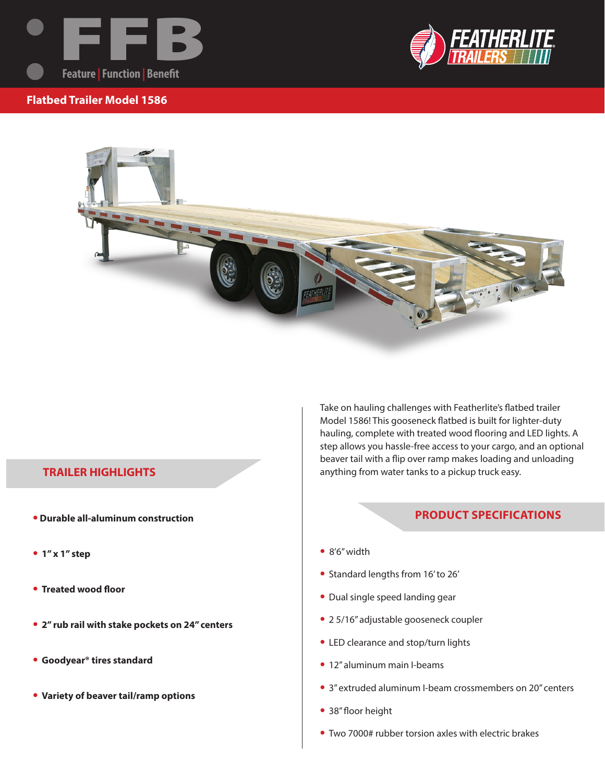







## **TRAILER HIGHLIGHTS**

- **Durable all-aluminum construction**
- **• 1" x 1" step**
- **• Treated wood floor**
- **• 2" rub rail with stake pockets on 24" centers**
- **• Goodyear® tires standard**
- **• Variety of beaver tail/ramp options**

Take on hauling challenges with Featherlite's flatbed trailer Model 1586! This gooseneck flatbed is built for lighter-duty hauling, complete with treated wood flooring and LED lights. A step allows you hassle-free access to your cargo, and an optional beaver tail with a flip over ramp makes loading and unloading anything from water tanks to a pickup truck easy.

## **PRODUCT SPECIFICATIONS**

- **•** 8'6" width
- **•** Standard lengths from 16' to 26'
- **•** Dual single speed landing gear
- **•** 2 5/16" adjustable gooseneck coupler
- **•** LED clearance and stop/turn lights
- **•** 12" aluminum main I-beams
- **•** 3" extruded aluminum I-beam crossmembers on 20" centers
- **•** 38" floor height
- **•** Two 7000# rubber torsion axles with electric brakes